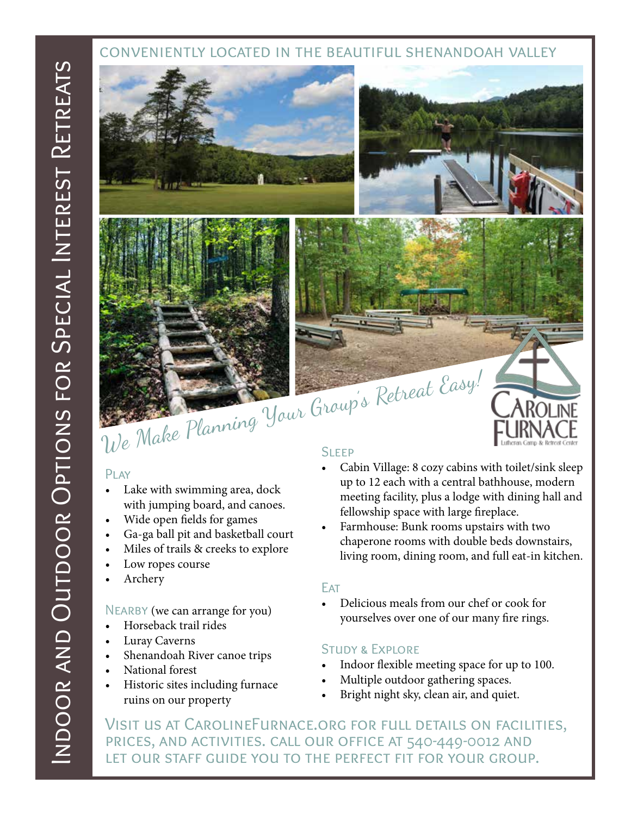## conveniently located in the beautiful shenandoah valley



# PLAY

- Lake with swimming area, dock with jumping board, and canoes.
- Wide open fields for games
- Ga-ga ball pit and basketball court
- Miles of trails & creeks to explore
- Low ropes course
- Archery

### NEARBY (we can arrange for you)

- Horseback trail rides
- Luray Caverns
- Shenandoah River canoe trips
- National forest
- Historic sites including furnace ruins on our property

- Cabin Village: 8 cozy cabins with toilet/sink sleep up to 12 each with a central bathhouse, modern meeting facility, plus a lodge with dining hall and fellowship space with large fireplace.
- Farmhouse: Bunk rooms upstairs with two chaperone rooms with double beds downstairs, living room, dining room, and full eat-in kitchen.

### **FAT**

• Delicious meals from our chef or cook for yourselves over one of our many fire rings.

### Study & Explore

- Indoor flexible meeting space for up to 100.
- Multiple outdoor gathering spaces.
- Bright night sky, clean air, and quiet.

Visit us at CarolineFurnace.org for full details on facilities, prices, and activities. call our office at 540-449-0012 and let our staff guide you to the perfect fit for your group.